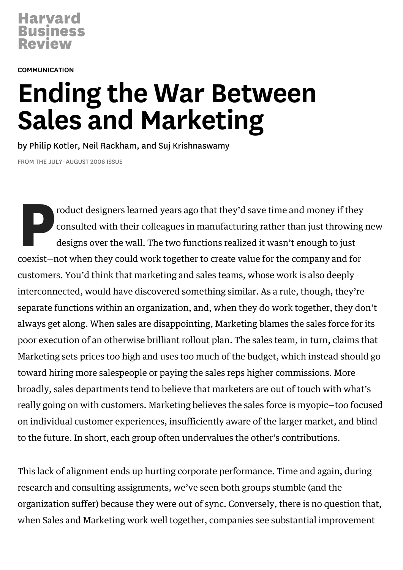

#### **[COMMUNICATION](https://hbr.org/topic/communication)**

# Ending the War Between **Sales and Marketing**

by [Philip Kotler,](https://hbr.org/search?term=philip+kotler) [Neil Rackham,](https://hbr.org/search?term=neil+rackham) and [Suj Krishnaswamy](https://hbr.org/search?term=suj+krishnaswamy) FROM THE JULY–AUGUST 2006 ISSUE

Froduct designers learned years ago that they'd save time and money if they<br>consulted with their colleagues in manufacturing rather than just throwing<br>designs over the wall. The two functions realized it wasn't enough to j consulted with their colleagues in manufacturing rather than just throwing new designs over the wall. The two functions realized it wasn't enough to just coexist—not when they could work together to create value for the company and for customers. You'd think that marketing and sales teams, whose work is also deeply interconnected, would have discovered something similar. As a rule, though, they're separate functions within an organization, and, when they do work together, they don't always get along. When sales are disappointing, Marketing blames the sales force for its poor execution of an otherwise brilliant rollout plan. The sales team, in turn, claims that Marketing sets prices too high and uses too much of the budget, which instead should go toward hiring more salespeople or paying the sales reps higher commissions. More broadly, sales departments tend to believe that marketers are out of touch with what's really going on with customers. Marketing believes the sales force is myopic—too focused on individual customer experiences, insufficiently aware of the larger market, and blind to the future. In short, each group often undervalues the other's contributions.

This lack of alignment ends up hurting corporate performance. Time and again, during research and consulting assignments, we've seen both groups stumble (and the organization suffer) because they were out of sync. Conversely, there is no question that, when Sales and Marketing work well together, companies see substantial improvement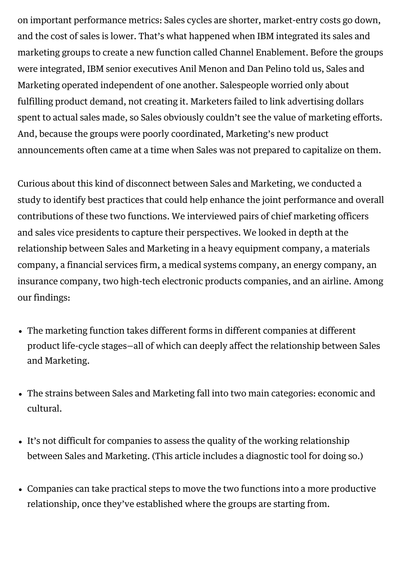on important performance metrics: Sales cycles are shorter, market-entry costs go down, and the cost of sales is lower. That's what happened when IBM integrated its sales and marketing groups to create a new function called Channel Enablement. Before the groups were integrated, IBM senior executives Anil Menon and Dan Pelino told us, Sales and Marketing operated independent of one another. Salespeople worried only about fulfilling product demand, not creating it. Marketers failed to link advertising dollars spent to actual sales made, so Sales obviously couldn't see the value of marketing efforts. And, because the groups were poorly coordinated, Marketing's new product announcements often came at a time when Sales was not prepared to capitalize on them.

Curious about this kind of disconnect between Sales and Marketing, we conducted a study to identify best practices that could help enhance the joint performance and overall contributions of these two functions. We interviewed pairs of chief marketing officers and sales vice presidents to capture their perspectives. We looked in depth at the relationship between Sales and Marketing in a heavy equipment company, a materials company, a financial services firm, a medical systems company, an energy company, an insurance company, two high-tech electronic products companies, and an airline. Among our findings:

- The marketing function takes different forms in different companies at different product life-cycle stages—all of which can deeply affect the relationship between Sales and Marketing.
- The strains between Sales and Marketing fall into two main categories: economic and cultural.
- It's not difficult for companies to assess the quality of the working relationship between Sales and Marketing. (This article includes a diagnostic tool for doing so.)
- Companies can take practical steps to move the two functions into a more productive relationship, once they've established where the groups are starting from.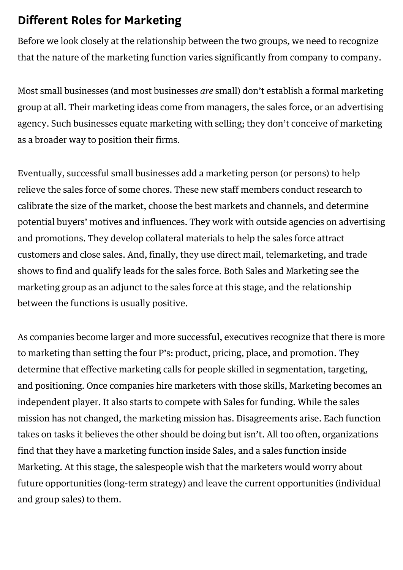# Different Roles for Marketing

Before we look closely at the relationship between the two groups, we need to recognize that the nature of the marketing function varies significantly from company to company.

Most small businesses (and most businesses *are* small) don't establish a formal marketing group at all. Their marketing ideas come from managers, the sales force, or an advertising agency. Such businesses equate marketing with selling; they don't conceive of marketing as a broader way to position their firms.

Eventually, successful small businesses add a marketing person (or persons) to help relieve the sales force of some chores. These new staff members conduct research to calibrate the size of the market, choose the best markets and channels, and determine potential buyers' motives and influences. They work with outside agencies on advertising and promotions. They develop collateral materials to help the sales force attract customers and close sales. And, finally, they use direct mail, telemarketing, and trade shows to find and qualify leads for the sales force. Both Sales and Marketing see the marketing group as an adjunct to the sales force at this stage, and the relationship between the functions is usually positive.

As companies become larger and more successful, executives recognize that there is more to marketing than setting the four P's: product, pricing, place, and promotion. They determine that effective marketing calls for people skilled in segmentation, targeting, and positioning. Once companies hire marketers with those skills, Marketing becomes an independent player. It also starts to compete with Sales for funding. While the sales mission has not changed, the marketing mission has. Disagreements arise. Each function takes on tasks it believes the other should be doing but isn't. All too often, organizations find that they have a marketing function inside Sales, and a sales function inside Marketing. At this stage, the salespeople wish that the marketers would worry about future opportunities (long-term strategy) and leave the current opportunities (individual and group sales) to them.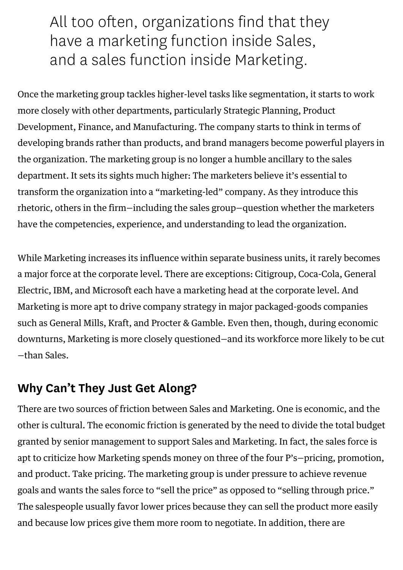All too often, organizations find that they have a marketing function inside Sales, and a sales function inside Marketing.

Once the marketing group tackles higher-level tasks like segmentation, it starts to work more closely with other departments, particularly Strategic Planning, Product Development, Finance, and Manufacturing. The company starts to think in terms of developing brands rather than products, and brand managers become powerful players in the organization. The marketing group is no longer a humble ancillary to the sales department. It sets its sights much higher: The marketers believe it's essential to transform the organization into a "marketing-led" company. As they introduce this rhetoric, others in the firm—including the sales group—question whether the marketers have the competencies, experience, and understanding to lead the organization.

While Marketing increases its influence within separate business units, it rarely becomes a major force at the corporate level. There are exceptions: Citigroup, Coca-Cola, General Electric, IBM, and Microsoft each have a marketing head at the corporate level. And Marketing is more apt to drive company strategy in major packaged-goods companies such as General Mills, Kraft, and Procter & Gamble. Even then, though, during economic downturns, Marketing is more closely questioned—and its workforce more likely to be cut —than Sales.

# Why Can't They Just Get Along?

There are two sources of friction between Sales and Marketing. One is economic, and the other is cultural. The economic friction is generated by the need to divide the total budget granted by senior management to support Sales and Marketing. In fact, the sales force is apt to criticize how Marketing spends money on three of the four P's—pricing, promotion, and product. Take pricing. The marketing group is under pressure to achieve revenue goals and wants the sales force to "sell the price" as opposed to "selling through price." The salespeople usually favor lower prices because they can sell the product more easily and because low prices give them more room to negotiate. In addition, there are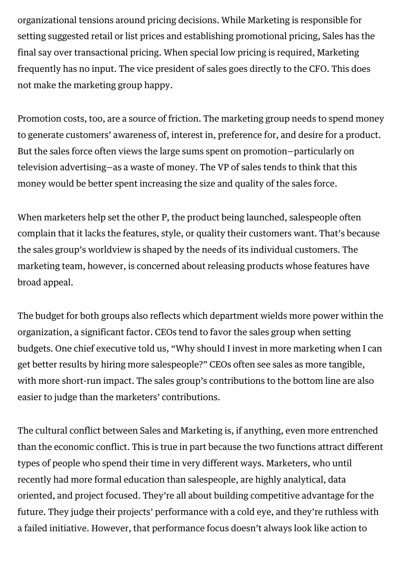organizational tensions around pricing decisions. While Marketing is responsible for setting suggested retail or list prices and establishing promotional pricing, Sales has the final say over transactional pricing. When special low pricing is required, Marketing frequently has no input. The vice president of sales goes directly to the CFO. This does not make the marketing group happy.

Promotion costs, too, are a source of friction. The marketing group needs to spend money to generate customers' awareness of, interest in, preference for, and desire for a product. But the sales force often views the large sums spent on promotion—particularly on television advertising—as a waste of money. The VP of sales tends to think that this money would be better spent increasing the size and quality of the sales force.

When marketers help set the other P, the product being launched, salespeople often complain that it lacks the features, style, or quality their customers want. That's because the sales group's worldview is shaped by the needs of its individual customers. The marketing team, however, is concerned about releasing products whose features have broad appeal.

The budget for both groups also reflects which department wields more power within the organization, a significant factor. CEOs tend to favor the sales group when setting budgets. One chief executive told us, "Why should I invest in more marketing when I can get better results by hiring more salespeople?" CEOs often see sales as more tangible, with more short-run impact. The sales group's contributions to the bottom line are also easier to judge than the marketers' contributions.

The cultural conflict between Sales and Marketing is, if anything, even more entrenched than the economic conflict. This is true in part because the two functions attract different types of people who spend their time in very different ways. Marketers, who until recently had more formal education than salespeople, are highly analytical, data oriented, and project focused. They're all about building competitive advantage for the future. They judge their projects' performance with a cold eye, and they're ruthless with a failed initiative. However, that performance focus doesn't always look like action to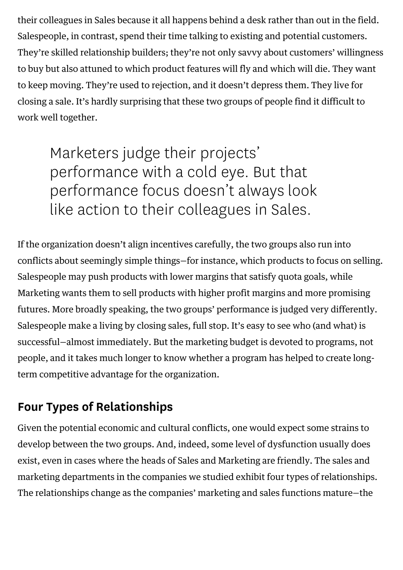their colleagues in Sales because it all happens behind a desk rather than out in the field. Salespeople, in contrast, spend their time talking to existing and potential customers. They're skilled relationship builders; they're not only savvy about customers' willingness to buy but also attuned to which product features will fly and which will die. They want to keep moving. They're used to rejection, and it doesn't depress them. They live for closing a sale. It's hardly surprising that these two groups of people find it difficult to work well together.

Marketers judge their projects' performance with a cold eye. But that performance focus doesn't always look like action to their colleagues in Sales.

If the organization doesn't align incentives carefully, the two groups also run into conflicts about seemingly simple things—for instance, which products to focus on selling. Salespeople may push products with lower margins that satisfy quota goals, while Marketing wants them to sell products with higher profit margins and more promising futures. More broadly speaking, the two groups' performance is judged very differently. Salespeople make a living by closing sales, full stop. It's easy to see who (and what) is successful—almost immediately. But the marketing budget is devoted to programs, not people, and it takes much longer to know whether a program has helped to create longterm competitive advantage for the organization.

# Four Types of Relationships

Given the potential economic and cultural conflicts, one would expect some strains to develop between the two groups. And, indeed, some level of dysfunction usually does exist, even in cases where the heads of Sales and Marketing are friendly. The sales and marketing departments in the companies we studied exhibit four types of relationships. The relationships change as the companies' marketing and sales functions mature—the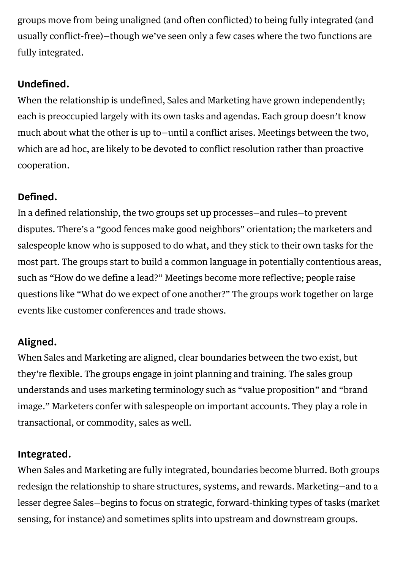groups move from being unaligned (and often conflicted) to being fully integrated (and usually conflict-free)—though we've seen only a few cases where the two functions are fully integrated.

#### Undefined.

When the relationship is undefined, Sales and Marketing have grown independently; each is preoccupied largely with its own tasks and agendas. Each group doesn't know much about what the other is up to—until a conflict arises. Meetings between the two, which are ad hoc, are likely to be devoted to conflict resolution rather than proactive cooperation.

#### Defined.

In a defined relationship, the two groups set up processes—and rules—to prevent disputes. There's a "good fences make good neighbors" orientation; the marketers and salespeople know who is supposed to do what, and they stick to their own tasks for the most part. The groups start to build a common language in potentially contentious areas, such as "How do we define a lead?" Meetings become more reflective; people raise questions like "What do we expect of one another?" The groups work together on large events like customer conferences and trade shows.

#### Aligned.

When Sales and Marketing are aligned, clear boundaries between the two exist, but they're flexible. The groups engage in joint planning and training. The sales group understands and uses marketing terminology such as "value proposition" and "brand image." Marketers confer with salespeople on important accounts. They play a role in transactional, or commodity, sales as well.

#### Integrated.

When Sales and Marketing are fully integrated, boundaries become blurred. Both groups redesign the relationship to share structures, systems, and rewards. Marketing—and to a lesser degree Sales—begins to focus on strategic, forward-thinking types of tasks (market sensing, for instance) and sometimes splits into upstream and downstream groups.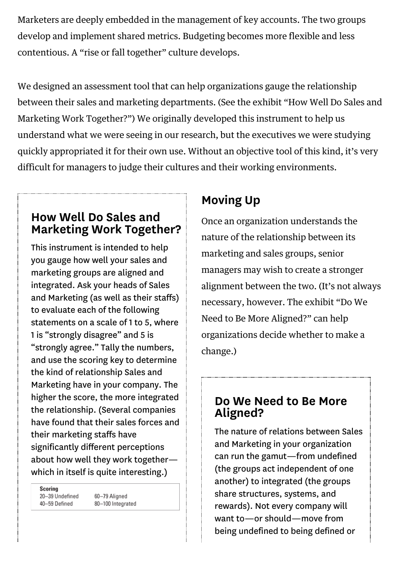Marketers are deeply embedded in the management of key accounts. The two groups develop and implement shared metrics. Budgeting becomes more flexible and less contentious. A "rise or fall together" culture develops.

We designed an assessment tool that can help organizations gauge the relationship between their sales and marketing departments. (See the exhibit "How Well Do Sales and Marketing Work Together?") We originally developed this instrument to help us understand what we were seeing in our research, but the executives we were studying quickly appropriated it for their own use. Without an objective tool of this kind, it's very difficult for managers to judge their cultures and their working environments.

#### How Well Do Sales and Marketing Work Together?

This instrument is intended to help you gauge how well your sales and marketing groups are aligned and integrated. Ask your heads of Sales and Marketing (as well as their staffs) to evaluate each of the following statements on a scale of 1 to 5, where 1 is "strongly disagree" and 5 is "strongly agree." Tally the numbers, and use the scoring key to determine the kind of relationship Sales and Marketing have in your company. The higher the score, the more integrated the relationship. (Several companies have found that their sales forces and their marketing staffs have significantly different perceptions about how well they work together which in itself is quite interesting.)

**Scoring** 20-39 Undefined 40-59 Defined

60-79 Aligned 80-100 Integrated

# Moving Up

Once an organization understands the nature of the relationship between its marketing and sales groups, senior managers may wish to create a stronger alignment between the two. (It's not always necessary, however. The exhibit "Do We Need to Be More Aligned?" can help organizations decide whether to make a change.)

#### Do We Need to Be More Aligned?

The nature of relations between Sales and Marketing in your organization can run the gamut—from undefined (the groups act independent of one another) to integrated (the groups share structures, systems, and rewards). Not every company will want to—or should—move from being undefined to being defined or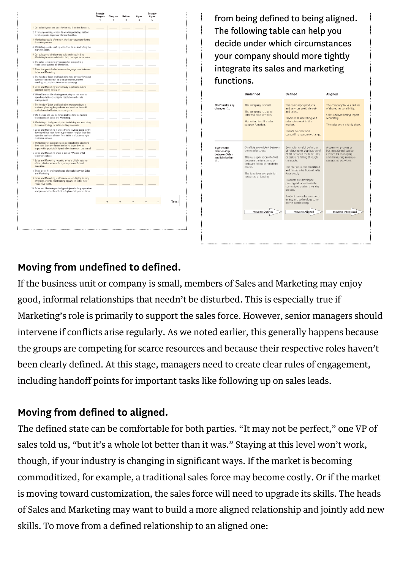

from being defined to being aligned. The following table can help you decide under which circumstances your company should more tightly integrate its sales and marketing functions.

|                                                                            | Undefined                                                                                                                                                                                                           | Defined                                                                                                                                                                                                                                                                                                                                                                                                                        | Aligned                                                                                                                                   |
|----------------------------------------------------------------------------|---------------------------------------------------------------------------------------------------------------------------------------------------------------------------------------------------------------------|--------------------------------------------------------------------------------------------------------------------------------------------------------------------------------------------------------------------------------------------------------------------------------------------------------------------------------------------------------------------------------------------------------------------------------|-------------------------------------------------------------------------------------------------------------------------------------------|
| Don't make any<br>changes if                                               | The company is small.<br>The company has good<br>informal relationships.<br>Marketing is still a sales<br>support function.                                                                                         | The company's products<br>and services are fairly cut-<br>and-dried.<br>Traditional marketing and<br>sales roles work in this<br>market.<br>There's no clear and<br>compelling reason to change.                                                                                                                                                                                                                               | The company lacks a culture<br>of shared responsibility.<br>Sales and Marketing report<br>separately.<br>The sales cycle is fairly short. |
| <b>Tighten the</b><br>relationship<br>between Sales<br>and Marketing<br>if | Conflicts are evident between<br>the two functions.<br>There's duplication of effort<br>between the functions; or<br>tasks are falling through the<br>cracks.<br>The functions compete for<br>resources or funding. | Even with careful definition<br>of roles, there's duplication of<br>effort between the functions;<br>or tasks are falling through<br>the cracks.<br>The market is commoditized<br>and makes a traditional sales<br>force costly.<br>Products are developed,<br>prototyped, or extensively<br>customized during the sales<br>process.<br>Product life cycles are short-<br>ening, and technology turn-<br>over is accelerating. | A common process or<br>business funnel can be<br>created for managing<br>and measuring revenue-<br>generating activities.                 |
|                                                                            | move to Defined                                                                                                                                                                                                     | move to Aligned                                                                                                                                                                                                                                                                                                                                                                                                                | move to Integrated                                                                                                                        |

#### Moving from undefined to defined.

If the business unit or company is small, members of Sales and Marketing may enjoy good, informal relationships that needn't be disturbed. This is especially true if Marketing's role is primarily to support the sales force. However, senior managers should intervene if conflicts arise regularly. As we noted earlier, this generally happens because the groups are competing for scarce resources and because their respective roles haven't been clearly defined. At this stage, managers need to create clear rules of engagement, including handoff points for important tasks like following up on sales leads.

#### Moving from defined to aligned.

The defined state can be comfortable for both parties. "It may not be perfect," one VP of sales told us, "but it's a whole lot better than it was." Staying at this level won't work, though, if your industry is changing in significant ways. If the market is becoming commoditized, for example, a traditional sales force may become costly. Or if the market is moving toward customization, the sales force will need to upgrade its skills. The heads of Sales and Marketing may want to build a more aligned relationship and jointly add new skills. To move from a defined relationship to an aligned one: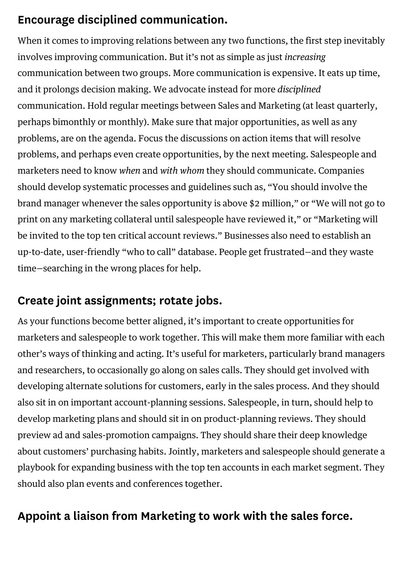# Encourage disciplined communication.

When it comes to improving relations between any two functions, the first step inevitably involves improving communication. But it's not as simple as just *increasing* communication between two groups. More communication is expensive. It eats up time, and it prolongs decision making. We advocate instead for more *disciplined* communication. Hold regular meetings between Sales and Marketing (at least quarterly, perhaps bimonthly or monthly). Make sure that major opportunities, as well as any problems, are on the agenda. Focus the discussions on action items that will resolve problems, and perhaps even create opportunities, by the next meeting. Salespeople and marketers need to know *when* and *with whom* they should communicate. Companies should develop systematic processes and guidelines such as, "You should involve the brand manager whenever the sales opportunity is above \$2 million," or "We will not go to print on any marketing collateral until salespeople have reviewed it," or "Marketing will be invited to the top ten critical account reviews." Businesses also need to establish an up-to-date, user-friendly "who to call" database. People get frustrated—and they waste time—searching in the wrong places for help.

## Create joint assignments; rotate jobs.

As your functions become better aligned, it's important to create opportunities for marketers and salespeople to work together. This will make them more familiar with each other's ways of thinking and acting. It's useful for marketers, particularly brand managers and researchers, to occasionally go along on sales calls. They should get involved with developing alternate solutions for customers, early in the sales process. And they should also sit in on important account-planning sessions. Salespeople, in turn, should help to develop marketing plans and should sit in on product-planning reviews. They should preview ad and sales-promotion campaigns. They should share their deep knowledge about customers' purchasing habits. Jointly, marketers and salespeople should generate a playbook for expanding business with the top ten accounts in each market segment. They should also plan events and conferences together.

## Appoint a liaison from Marketing to work with the sales force.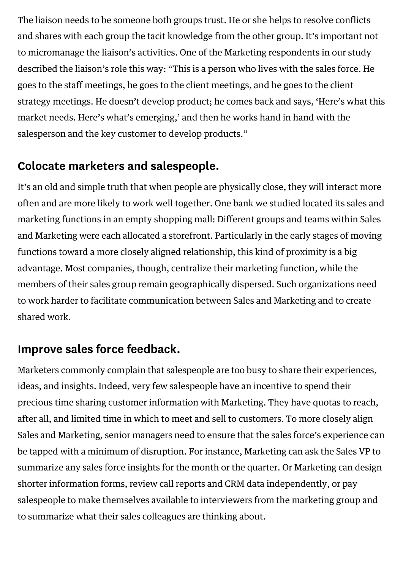The liaison needs to be someone both groups trust. He or she helps to resolve conflicts and shares with each group the tacit knowledge from the other group. It's important not to micromanage the liaison's activities. One of the Marketing respondents in our study described the liaison's role this way: "This is a person who lives with the sales force. He goes to the staff meetings, he goes to the client meetings, and he goes to the client strategy meetings. He doesn't develop product; he comes back and says, 'Here's what this market needs. Here's what's emerging,' and then he works hand in hand with the salesperson and the key customer to develop products."

## Colocate marketers and salespeople.

It's an old and simple truth that when people are physically close, they will interact more often and are more likely to work well together. One bank we studied located its sales and marketing functions in an empty shopping mall: Different groups and teams within Sales and Marketing were each allocated a storefront. Particularly in the early stages of moving functions toward a more closely aligned relationship, this kind of proximity is a big advantage. Most companies, though, centralize their marketing function, while the members of their sales group remain geographically dispersed. Such organizations need to work harder to facilitate communication between Sales and Marketing and to create shared work.

## Improve sales force feedback.

Marketers commonly complain that salespeople are too busy to share their experiences, ideas, and insights. Indeed, very few salespeople have an incentive to spend their precious time sharing customer information with Marketing. They have quotas to reach, after all, and limited time in which to meet and sell to customers. To more closely align Sales and Marketing, senior managers need to ensure that the sales force's experience can be tapped with a minimum of disruption. For instance, Marketing can ask the Sales VP to summarize any sales force insights for the month or the quarter. Or Marketing can design shorter information forms, review call reports and CRM data independently, or pay salespeople to make themselves available to interviewers from the marketing group and to summarize what their sales colleagues are thinking about.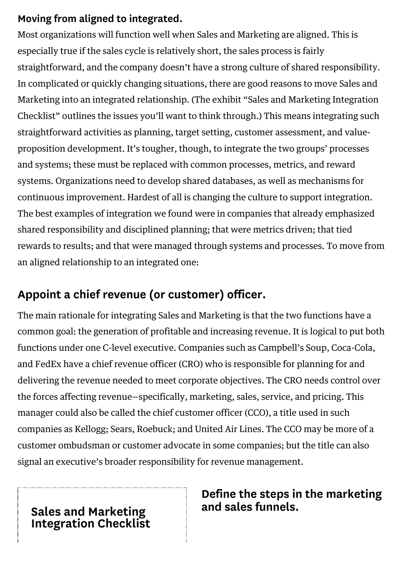#### Moving from aligned to integrated.

Most organizations will function well when Sales and Marketing are aligned. This is especially true if the sales cycle is relatively short, the sales process is fairly straightforward, and the company doesn't have a strong culture of shared responsibility. In complicated or quickly changing situations, there are good reasons to move Sales and Marketing into an integrated relationship. (The exhibit "Sales and Marketing Integration Checklist" outlines the issues you'll want to think through.) This means integrating such straightforward activities as planning, target setting, customer assessment, and valueproposition development. It's tougher, though, to integrate the two groups' processes and systems; these must be replaced with common processes, metrics, and reward systems. Organizations need to develop shared databases, as well as mechanisms for continuous improvement. Hardest of all is changing the culture to support integration. The best examples of integration we found were in companies that already emphasized shared responsibility and disciplined planning; that were metrics driven; that tied rewards to results; and that were managed through systems and processes. To move from an aligned relationship to an integrated one:

# Appoint a chief revenue (or customer) officer.

The main rationale for integrating Sales and Marketing is that the two functions have a common goal: the generation of profitable and increasing revenue. It is logical to put both functions under one C-level executive. Companies such as Campbell's Soup, Coca-Cola, and FedEx have a chief revenue officer (CRO) who is responsible for planning for and delivering the revenue needed to meet corporate objectives. The CRO needs control over the forces affecting revenue—specifically, marketing, sales, service, and pricing. This manager could also be called the chief customer officer (CCO), a title used in such companies as Kellogg; Sears, Roebuck; and United Air Lines. The CCO may be more of a customer ombudsman or customer advocate in some companies; but the title can also signal an executive's broader responsibility for revenue management.

Sales and Marketing Integration Checklist Define the steps in the marketing and sales funnels.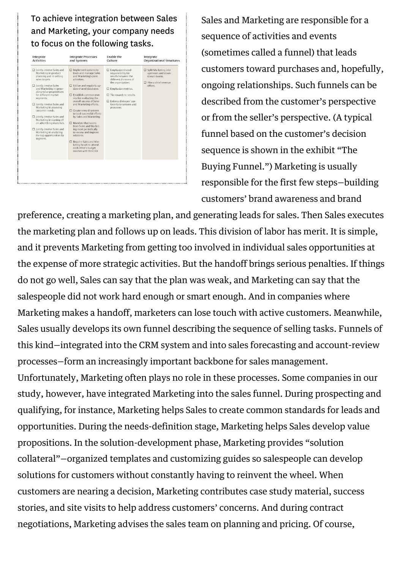To achieve integration between Sales and Marketing, your company needs to focus on the following tasks.

| Integrate                                                                                                                                                                                                                                                                                                                                                                                                                                                                                               | <b>Integrate Processes</b>                                                                                                                                                                                                                                                                                                                                                                                                                                                                                                                                                              | <b>Fnable the</b>                                                                                                                                                                                                                                      | Integrate                                                                                                |
|---------------------------------------------------------------------------------------------------------------------------------------------------------------------------------------------------------------------------------------------------------------------------------------------------------------------------------------------------------------------------------------------------------------------------------------------------------------------------------------------------------|-----------------------------------------------------------------------------------------------------------------------------------------------------------------------------------------------------------------------------------------------------------------------------------------------------------------------------------------------------------------------------------------------------------------------------------------------------------------------------------------------------------------------------------------------------------------------------------------|--------------------------------------------------------------------------------------------------------------------------------------------------------------------------------------------------------------------------------------------------------|----------------------------------------------------------------------------------------------------------|
| <b>Activities</b>                                                                                                                                                                                                                                                                                                                                                                                                                                                                                       | and Systems                                                                                                                                                                                                                                                                                                                                                                                                                                                                                                                                                                             | Culture                                                                                                                                                                                                                                                | <b>Organizational Structures</b>                                                                         |
| $\Box$ Jointly involve Sales and<br>Marketing in product<br>planning and in setting<br>sales targets.<br>□ Jointly involve Sales<br>and Marketing in gener-<br>ating value propositions<br>for different market.<br>segments.<br>□ Jointly involve Sales and<br>Marketing in assessing<br>customer needs.<br>□ Jointly involve Sales and<br>Marketing in signing off<br>on advertising materials.<br>$\Box$ Jointly involve Sales and<br>Marketing in analyzing<br>the top opportunities by<br>segment. | $\Box$ Implement systems to<br>track and manage Sales<br>and Marketing's joint<br>activities.<br>$\Box$ Utilize and regularly up-<br>date shared databases.<br>□ Establish common met-<br>rics for evaluating the<br>overall success of Sales<br>and Marketing efforts.<br>□ Create reward systems<br>to laud successful efforts<br>by Sales and Marketing.<br>$\Box$ Mandate that teams<br>from Sales and Market-<br>ing meet periodically<br>to review and improve<br>relations.<br>□ Require Sales and Mar-<br>keting heads to attend<br>each other's budget<br>reviews with the CEO | □ Emphasize shared<br>responsibility for<br>results between the<br>different divisions of<br>the organization.<br>$\square$ Emphasize metrics.<br>$\square$ Tie rewards to results.<br>Enforce divisions' con-<br>formity to systems and<br>processes. | □ Split Marketing into<br>upstream and down-<br>stream teams.<br>$\Box$ Hire a chief revenue<br>officer. |

Sales and Marketing are responsible for a sequence of activities and events (sometimes called a funnel) that leads customers toward purchases and, hopefully, ongoing relationships. Such funnels can be described from the customer's perspective or from the seller's perspective. (A typical funnel based on the customer's decision sequence is shown in the exhibit "The Buying Funnel.") Marketing is usually responsible for the first few steps—building customers' brand awareness and brand

preference, creating a marketing plan, and generating leads for sales. Then Sales executes the marketing plan and follows up on leads. This division of labor has merit. It is simple, and it prevents Marketing from getting too involved in individual sales opportunities at the expense of more strategic activities. But the handoff brings serious penalties. If things do not go well, Sales can say that the plan was weak, and Marketing can say that the salespeople did not work hard enough or smart enough. And in companies where Marketing makes a handoff, marketers can lose touch with active customers. Meanwhile, Sales usually develops its own funnel describing the sequence of selling tasks. Funnels of this kind—integrated into the CRM system and into sales forecasting and account-review processes—form an increasingly important backbone for sales management.

Unfortunately, Marketing often plays no role in these processes. Some companies in our study, however, have integrated Marketing into the sales funnel. During prospecting and qualifying, for instance, Marketing helps Sales to create common standards for leads and opportunities. During the needs-definition stage, Marketing helps Sales develop value propositions. In the solution-development phase, Marketing provides "solution collateral"—organized templates and customizing guides so salespeople can develop solutions for customers without constantly having to reinvent the wheel. When customers are nearing a decision, Marketing contributes case study material, success stories, and site visits to help address customers' concerns. And during contract negotiations, Marketing advises the sales team on planning and pricing. Of course,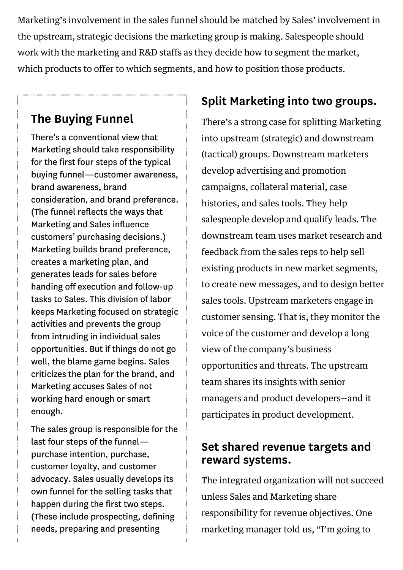Marketing's involvement in the sales funnel should be matched by Sales' involvement in the upstream, strategic decisions the marketing group is making. Salespeople should work with the marketing and R&D staffs as they decide how to segment the market, which products to offer to which segments, and how to position those products.

# The Buying Funnel

There's a conventional view that Marketing should take responsibility for the first four steps of the typical buying funnel—customer awareness, brand awareness, brand consideration, and brand preference. (The funnel reflects the ways that Marketing and Sales influence customers' purchasing decisions.) Marketing builds brand preference, creates a marketing plan, and generates leads for sales before handing off execution and follow-up tasks to Sales. This division of labor keeps Marketing focused on strategic activities and prevents the group from intruding in individual sales opportunities. But if things do not go well, the blame game begins. Sales criticizes the plan for the brand, and Marketing accuses Sales of not working hard enough or smart enough.

The sales group is responsible for the last four steps of the funnel purchase intention, purchase, customer loyalty, and customer advocacy. Sales usually develops its own funnel for the selling tasks that happen during the first two steps. (These include prospecting, defining needs, preparing and presenting

#### Split Marketing into two groups.

There's a strong case for splitting Marketing into upstream (strategic) and downstream (tactical) groups. Downstream marketers develop advertising and promotion campaigns, collateral material, case histories, and sales tools. They help salespeople develop and qualify leads. The downstream team uses market research and feedback from the sales reps to help sell existing products in new market segments, to create new messages, and to design better sales tools. Upstream marketers engage in customer sensing. That is, they monitor the voice of the customer and develop a long view of the company's business opportunities and threats. The upstream team shares its insights with senior managers and product developers—and it participates in product development.

#### Set shared revenue targets and reward systems.

The integrated organization will not succeed unless Sales and Marketing share responsibility for revenue objectives. One marketing manager told us, "I'm going to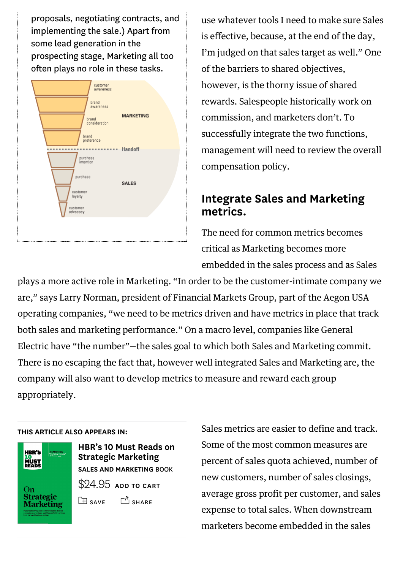proposals, negotiating contracts, and implementing the sale.) Apart from some lead generation in the prospecting stage, Marketing all too often plays no role in these tasks.



use whatever tools I need to make sure Sales is effective, because, at the end of the day, I'm judged on that sales target as well." One of the barriers to shared objectives, however, is the thorny issue of shared rewards. Salespeople historically work on commission, and marketers don't. To successfully integrate the two functions, management will need to review the overall compensation policy.

#### Integrate Sales and Marketing metrics.

The need for common metrics becomes critical as Marketing becomes more embedded in the sales process and as Sales

plays a more active role in Marketing. "In order to be the customer-intimate company we are," says Larry Norman, president of Financial Markets Group, part of the Aegon USA operating companies, "we need to be metrics driven and have metrics in place that track both sales and marketing performance." On a macro level, companies like General Electric have "the number"—the sales goal to which both Sales and Marketing commit. There is no escaping the fact that, however well integrated Sales and Marketing are, the company will also want to develop metrics to measure and reward each group appropriately.

#### THIS ARTICLE ALSO APPEARS IN:



[HBR's 10 Must Reads on](https://hbr.org/product/hbr-s-10-must-reads-on-strategic-marketing-with-featured-article-marketing-myopia-by-theodore-levitt-hbr-s-10-must-reads/11366-PBK-ENG?referral=02560) Strategic Marketing SALES AND MARKETING BOOK S<sub>24.95</sub> [ADD TO CART](https://hbr.org/2006/07/ending-the-war-between-sales-and-marketing#)  $\boxed{\pm}$  [SAVE](https://hbr.org/2006/07/ending-the-war-between-sales-and-marketing#)  $\boxed{\phantom{a}}$  SHARF

Sales metrics are easier to define and track. Some of the most common measures are percent of sales quota achieved, number of new customers, number of sales closings, average gross profit per customer, and sales expense to total sales. When downstream marketers become embedded in the sales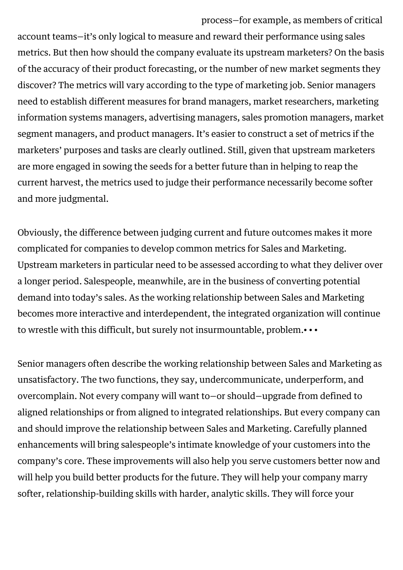process—for example, as members of critical

account teams—it's only logical to measure and reward their performance using sales metrics. But then how should the company evaluate its upstream marketers? On the basis of the accuracy of their product forecasting, or the number of new market segments they discover? The metrics will vary according to the type of marketing job. Senior managers need to establish different measures for brand managers, market researchers, marketing information systems managers, advertising managers, sales promotion managers, market segment managers, and product managers. It's easier to construct a set of metrics if the marketers' purposes and tasks are clearly outlined. Still, given that upstream marketers are more engaged in sowing the seeds for a better future than in helping to reap the current harvest, the metrics used to judge their performance necessarily become softer and more judgmental.

Obviously, the difference between judging current and future outcomes makes it more complicated for companies to develop common metrics for Sales and Marketing. Upstream marketers in particular need to be assessed according to what they deliver over a longer period. Salespeople, meanwhile, are in the business of converting potential demand into today's sales. As the working relationship between Sales and Marketing becomes more interactive and interdependent, the integrated organization will continue to wrestle with this difficult, but surely not insurmountable, problem.  $\cdots$ 

Senior managers often describe the working relationship between Sales and Marketing as unsatisfactory. The two functions, they say, undercommunicate, underperform, and overcomplain. Not every company will want to—or should—upgrade from defined to aligned relationships or from aligned to integrated relationships. But every company can and should improve the relationship between Sales and Marketing. Carefully planned enhancements will bring salespeople's intimate knowledge of your customers into the company's core. These improvements will also help you serve customers better now and will help you build better products for the future. They will help your company marry softer, relationship-building skills with harder, analytic skills. They will force your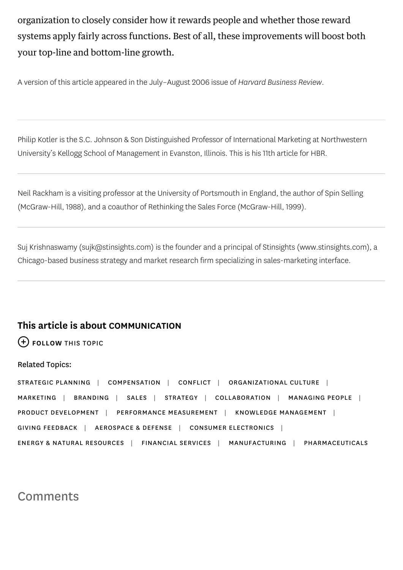organization to closely consider how it rewards people and whether those reward systems apply fairly across functions. Best of all, these improvements will boost both your top-line and bottom-line growth.

A version of this article appeared in the [July–August 2006](https://hbr.org/archive-toc/BR0607) issue of Harvard Business Review.

Philip Kotler is the S.C. Johnson & Son Distinguished Professor of International Marketing at Northwestern University's Kellogg School of Management in Evanston, Illinois. This is his 11th article for HBR.

Neil Rackham is a visiting professor at the University of Portsmouth in England, the author of Spin Selling (McGraw-Hill, 1988), and a coauthor of Rethinking the Sales Force (McGraw-Hill, 1999).

Suj Krishnaswamy [\(sujk@stinsights.com\)](mailto:sujk@stinsights.com) is the founder and a principal of Stinsights (www.stinsights.com), a Chicago-based business strategy and market research firm specializing in sales-marketing interface.

#### This article is about [COMMUNICATION](https://hbr.org/topic/communication)

[FOLLOW THIS TOPIC](https://hbr.org/2006/07/ending-the-war-between-sales-and-marketing#)

#### Related Topics:

[STRATEGIC PLANNING](https://hbr.org/topic/strategic-planning) | [COMPENSATION](https://hbr.org/topic/compensation) | [CONFLICT](https://hbr.org/topic/conflict) | [ORGANIZATIONAL CULTURE](https://hbr.org/topic/organizational-culture) | [MARKETING](https://hbr.org/topic/marketing) | [BRANDING](https://hbr.org/topic/branding) | [SALES](https://hbr.org/topic/sales) | [STRATEGY](https://hbr.org/topic/strategy) | [COLLABORATION](https://hbr.org/topic/collaboration) | [MANAGING PEOPLE](https://hbr.org/topic/managing-people) | [PRODUCT DEVELOPMENT](https://hbr.org/topic/product-development) | [PERFORMANCE MEASUREMENT](https://hbr.org/topic/performance-measurement) | [KNOWLEDGE MANAGEMENT](https://hbr.org/topic/knowledge-management) | [GIVING FEEDBACK](https://hbr.org/topic/giving-feedback) | [AEROSPACE & DEFENSE](https://hbr.org/topic/aerospace-and-defense) | [CONSUMER ELECTRONICS](https://hbr.org/topic/consumer-electronics) | [ENERGY & NATURAL RESOURCES](https://hbr.org/topic/energy-and-natural-resources) | [FINANCIAL SERVICES](https://hbr.org/topic/financial-services) | [MANUFACTURING](https://hbr.org/topic/manufacturing) | [PHARMACEUTICALS](https://hbr.org/topic/pharmaceuticals)

#### Comments